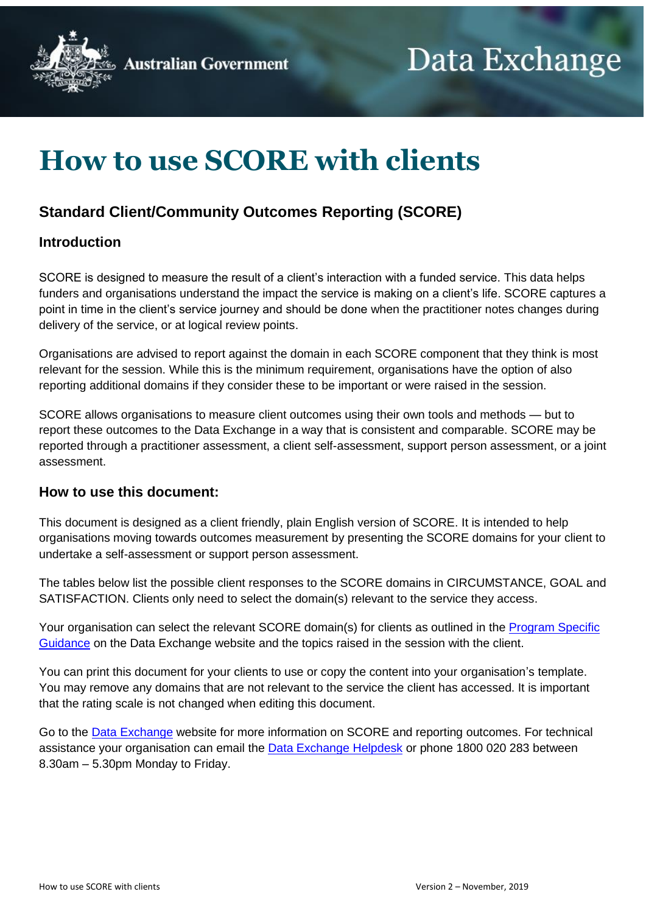



# **How to use SCORE with clients**

### **Standard Client/Community Outcomes Reporting (SCORE)**

### **Introduction**

SCORE is designed to measure the result of a client's interaction with a funded service. This data helps funders and organisations understand the impact the service is making on a client's life. SCORE captures a point in time in the client's service journey and should be done when the practitioner notes changes during delivery of the service, or at logical review points.

Organisations are advised to report against the domain in each SCORE component that they think is most relevant for the session. While this is the minimum requirement, organisations have the option of also reporting additional domains if they consider these to be important or were raised in the session.

SCORE allows organisations to measure client outcomes using their own tools and methods — but to report these outcomes to the Data Exchange in a way that is consistent and comparable. SCORE may be reported through a practitioner assessment, a client self-assessment, support person assessment, or a joint assessment.

#### **How to use this document:**

This document is designed as a client friendly, plain English version of SCORE. It is intended to help organisations moving towards outcomes measurement by presenting the SCORE domains for your client to undertake a self-assessment or support person assessment.

The tables below list the possible client responses to the SCORE domains in CIRCUMSTANCE, GOAL and SATISFACTION. Clients only need to select the domain(s) relevant to the service they access.

Your organisation can select the relevant SCORE domain(s) for clients as outlined in the Program Specific [Guidance](https://dex.dss.gov.au/document/81) on the Data Exchange website and the topics raised in the session with the client.

You can print this document for your clients to use or copy the content into your organisation's template. You may remove any domains that are not relevant to the service the client has accessed. It is important that the rating scale is not changed when editing this document.

Go to the [Data Exchange](https://dex.dss.gov.au/policy#policy) website for more information on SCORE and reporting outcomes. For technical assistance your organisation can email the **Data Exchange Helpdesk** or phone 1800 020 283 between 8.30am – 5.30pm Monday to Friday.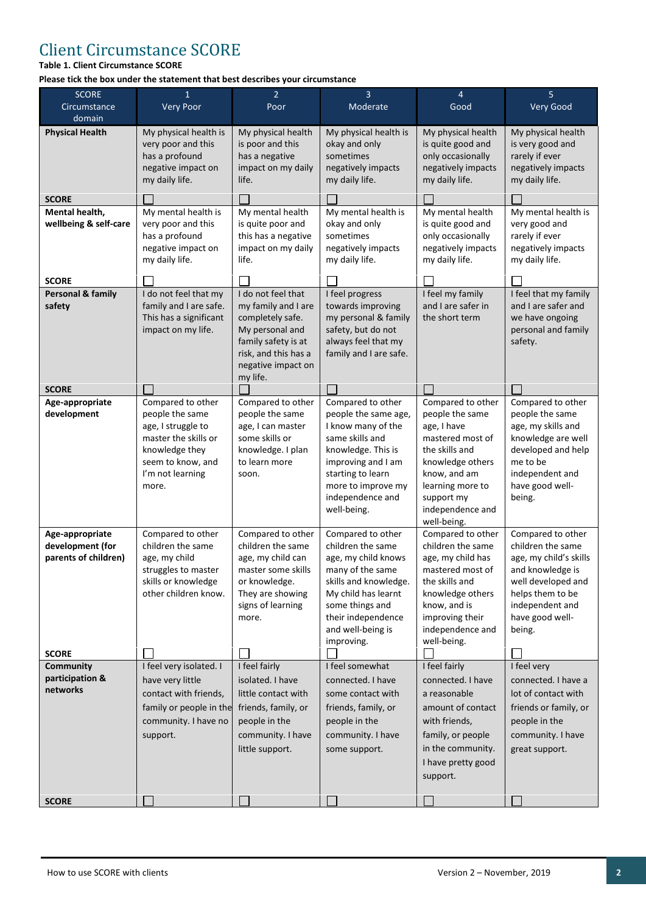### Client Circumstance SCORE

#### **Table 1. Client Circumstance SCORE**

**Please tick the box under the statement that best describes your circumstance**

| <b>SCORE</b><br>Circumstance<br>domain                      | $\mathbf{1}$<br><b>Very Poor</b>                                                                                                                       | $\overline{2}$<br>Poor                                                                                                                                            | $\overline{3}$<br>Moderate                                                                                                                                                                                    | $\overline{4}$<br>Good                                                                                                                                                                             | 5<br>Very Good                                                                                                                                                                 |
|-------------------------------------------------------------|--------------------------------------------------------------------------------------------------------------------------------------------------------|-------------------------------------------------------------------------------------------------------------------------------------------------------------------|---------------------------------------------------------------------------------------------------------------------------------------------------------------------------------------------------------------|----------------------------------------------------------------------------------------------------------------------------------------------------------------------------------------------------|--------------------------------------------------------------------------------------------------------------------------------------------------------------------------------|
| <b>Physical Health</b>                                      | My physical health is<br>very poor and this<br>has a profound<br>negative impact on<br>my daily life.                                                  | My physical health<br>is poor and this<br>has a negative<br>impact on my daily<br>life.                                                                           | My physical health is<br>okay and only<br>sometimes<br>negatively impacts<br>my daily life.                                                                                                                   | My physical health<br>is quite good and<br>only occasionally<br>negatively impacts<br>my daily life.                                                                                               | My physical health<br>is very good and<br>rarely if ever<br>negatively impacts<br>my daily life.                                                                               |
| <b>SCORE</b>                                                |                                                                                                                                                        |                                                                                                                                                                   |                                                                                                                                                                                                               |                                                                                                                                                                                                    |                                                                                                                                                                                |
| Mental health,<br>wellbeing & self-care                     | My mental health is<br>very poor and this<br>has a profound<br>negative impact on<br>my daily life.                                                    | My mental health<br>is quite poor and<br>this has a negative<br>impact on my daily<br>life.                                                                       | My mental health is<br>okay and only<br>sometimes<br>negatively impacts<br>my daily life.                                                                                                                     | My mental health<br>is quite good and<br>only occasionally<br>negatively impacts<br>my daily life.                                                                                                 | My mental health is<br>very good and<br>rarely if ever<br>negatively impacts<br>my daily life.                                                                                 |
| <b>SCORE</b>                                                |                                                                                                                                                        |                                                                                                                                                                   |                                                                                                                                                                                                               |                                                                                                                                                                                                    |                                                                                                                                                                                |
| <b>Personal &amp; family</b><br>safety                      | I do not feel that my<br>family and I are safe.<br>This has a significant<br>impact on my life.                                                        | I do not feel that<br>my family and I are<br>completely safe.<br>My personal and<br>family safety is at<br>risk, and this has a<br>negative impact on<br>my life. | I feel progress<br>towards improving<br>my personal & family<br>safety, but do not<br>always feel that my<br>family and I are safe.                                                                           | I feel my family<br>and I are safer in<br>the short term                                                                                                                                           | I feel that my family<br>and I are safer and<br>we have ongoing<br>personal and family<br>safety.                                                                              |
| <b>SCORE</b>                                                |                                                                                                                                                        |                                                                                                                                                                   |                                                                                                                                                                                                               |                                                                                                                                                                                                    |                                                                                                                                                                                |
| Age-appropriate<br>development                              | Compared to other<br>people the same<br>age, I struggle to<br>master the skills or<br>knowledge they<br>seem to know, and<br>I'm not learning<br>more. | Compared to other<br>people the same<br>age, I can master<br>some skills or<br>knowledge. I plan<br>to learn more<br>soon.                                        | Compared to other<br>people the same age,<br>I know many of the<br>same skills and<br>knowledge. This is<br>improving and I am<br>starting to learn<br>more to improve my<br>independence and<br>well-being.  | Compared to other<br>people the same<br>age, I have<br>mastered most of<br>the skills and<br>knowledge others<br>know, and am<br>learning more to<br>support my<br>independence and<br>well-being. | Compared to other<br>people the same<br>age, my skills and<br>knowledge are well<br>developed and help<br>me to be<br>independent and<br>have good well-<br>being.             |
| Age-appropriate<br>development (for<br>parents of children) | Compared to other<br>children the same<br>age, my child<br>struggles to master<br>skills or knowledge<br>other children know.                          | Compared to other<br>children the same<br>age, my child can<br>master some skills<br>or knowledge.<br>They are showing<br>signs of learning<br>more.              | Compared to other<br>children the same<br>age, my child knows<br>many of the same<br>skills and knowledge.<br>My child has learnt<br>some things and<br>their independence<br>and well-being is<br>improving. | Compared to other<br>children the same<br>age, my child has<br>mastered most of<br>the skills and<br>knowledge others<br>know, and is<br>improving their<br>independence and<br>well-being.        | Compared to other<br>children the same<br>age, my child's skills<br>and knowledge is<br>well developed and<br>helps them to be<br>independent and<br>have good well-<br>being. |
| <b>SCORE</b>                                                |                                                                                                                                                        |                                                                                                                                                                   |                                                                                                                                                                                                               |                                                                                                                                                                                                    |                                                                                                                                                                                |
| Community<br>participation &<br>networks                    | I feel very isolated. I<br>have very little<br>contact with friends,<br>family or people in the<br>community. I have no<br>support.                    | I feel fairly<br>isolated. I have<br>little contact with<br>friends, family, or<br>people in the<br>community. I have<br>little support.                          | I feel somewhat<br>connected. I have<br>some contact with<br>friends, family, or<br>people in the<br>community. I have<br>some support.                                                                       | I feel fairly<br>connected. I have<br>a reasonable<br>amount of contact<br>with friends,<br>family, or people<br>in the community.<br>I have pretty good<br>support.                               | I feel very<br>connected. I have a<br>lot of contact with<br>friends or family, or<br>people in the<br>community. I have<br>great support.                                     |
| <b>SCORE</b>                                                |                                                                                                                                                        |                                                                                                                                                                   |                                                                                                                                                                                                               |                                                                                                                                                                                                    |                                                                                                                                                                                |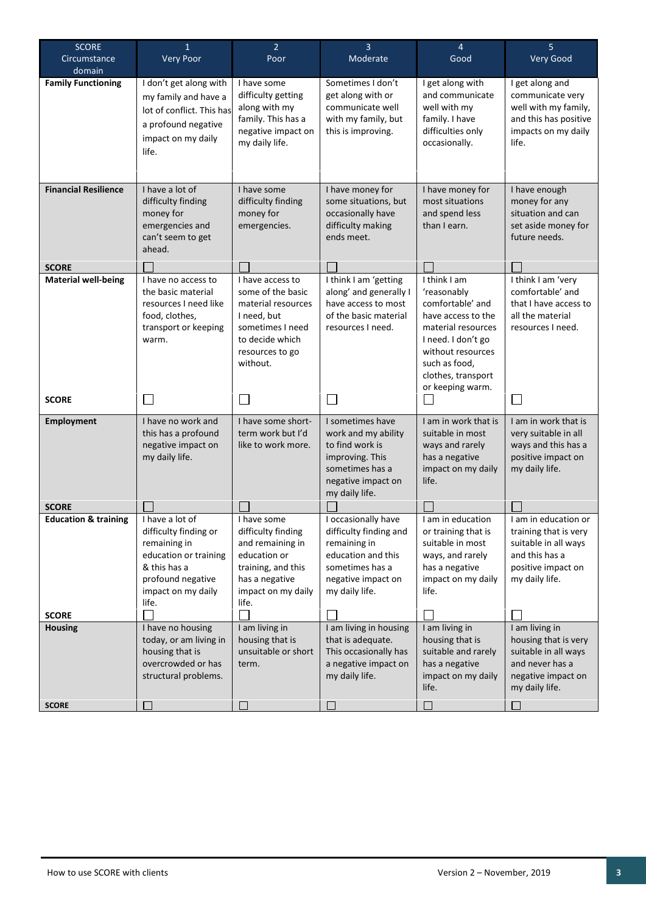| <b>SCORE</b><br>Circumstance    | $\mathbf{1}$<br><b>Very Poor</b>                                                                                                                      | 2 <sup>1</sup><br>Poor                                                                                                                           | 3<br>Moderate                                                                                                                                  | 4<br>Good                                                                                                                                                                                         | 5<br>Very Good                                                                                                                  |  |
|---------------------------------|-------------------------------------------------------------------------------------------------------------------------------------------------------|--------------------------------------------------------------------------------------------------------------------------------------------------|------------------------------------------------------------------------------------------------------------------------------------------------|---------------------------------------------------------------------------------------------------------------------------------------------------------------------------------------------------|---------------------------------------------------------------------------------------------------------------------------------|--|
| domain                          |                                                                                                                                                       |                                                                                                                                                  |                                                                                                                                                |                                                                                                                                                                                                   |                                                                                                                                 |  |
| <b>Family Functioning</b>       | I don't get along with<br>my family and have a<br>lot of conflict. This has<br>a profound negative<br>impact on my daily<br>life.                     | I have some<br>difficulty getting<br>along with my<br>family. This has a<br>negative impact on<br>my daily life.                                 | Sometimes I don't<br>get along with or<br>communicate well<br>with my family, but<br>this is improving.                                        | I get along with<br>and communicate<br>well with my<br>family. I have<br>difficulties only<br>occasionally.                                                                                       | I get along and<br>communicate very<br>well with my family,<br>and this has positive<br>impacts on my daily<br>life.            |  |
| <b>Financial Resilience</b>     | I have a lot of<br>difficulty finding<br>money for<br>emergencies and<br>can't seem to get<br>ahead.                                                  | I have some<br>difficulty finding<br>money for<br>emergencies.                                                                                   | I have money for<br>some situations, but<br>occasionally have<br>difficulty making<br>ends meet.                                               | I have money for<br>most situations<br>and spend less<br>than I earn.                                                                                                                             | I have enough<br>money for any<br>situation and can<br>set aside money for<br>future needs.                                     |  |
| <b>SCORE</b>                    |                                                                                                                                                       |                                                                                                                                                  |                                                                                                                                                |                                                                                                                                                                                                   |                                                                                                                                 |  |
| <b>Material well-being</b>      | I have no access to<br>the basic material<br>resources I need like<br>food, clothes,<br>transport or keeping<br>warm.                                 | I have access to<br>some of the basic<br>material resources<br>I need, but<br>sometimes I need<br>to decide which<br>resources to go<br>without. | I think I am 'getting<br>along' and generally I<br>have access to most<br>of the basic material<br>resources I need.                           | I think I am<br>'reasonably<br>comfortable' and<br>have access to the<br>material resources<br>I need. I don't go<br>without resources<br>such as food,<br>clothes, transport<br>or keeping warm. | I think I am 'very<br>comfortable' and<br>that I have access to<br>all the material<br>resources I need.                        |  |
| <b>SCORE</b>                    |                                                                                                                                                       | $\Box$                                                                                                                                           |                                                                                                                                                |                                                                                                                                                                                                   |                                                                                                                                 |  |
| <b>Employment</b>               | I have no work and<br>this has a profound<br>negative impact on<br>my daily life.                                                                     | I have some short-<br>term work but I'd<br>like to work more.                                                                                    | I sometimes have<br>work and my ability<br>to find work is<br>improving. This<br>sometimes has a<br>negative impact on<br>my daily life.       | I am in work that is<br>suitable in most<br>ways and rarely<br>has a negative<br>impact on my daily<br>life.                                                                                      | I am in work that is<br>very suitable in all<br>ways and this has a<br>positive impact on<br>my daily life.                     |  |
| <b>SCORE</b>                    |                                                                                                                                                       |                                                                                                                                                  |                                                                                                                                                |                                                                                                                                                                                                   |                                                                                                                                 |  |
| <b>Education &amp; training</b> | I have a lot of<br>difficulty finding or<br>remaining in<br>education or training<br>& this has a<br>profound negative<br>impact on my daily<br>life. | I have some<br>difficulty finding<br>and remaining in<br>education or<br>training, and this<br>has a negative<br>impact on my daily<br>life.     | I occasionally have<br>difficulty finding and<br>remaining in<br>education and this<br>sometimes has a<br>negative impact on<br>my daily life. | I am in education<br>or training that is<br>suitable in most<br>ways, and rarely<br>has a negative<br>impact on my daily<br>life.                                                                 | I am in education or<br>training that is very<br>suitable in all ways<br>and this has a<br>positive impact on<br>my daily life. |  |
| <b>SCORE</b>                    |                                                                                                                                                       |                                                                                                                                                  |                                                                                                                                                |                                                                                                                                                                                                   |                                                                                                                                 |  |
| <b>Housing</b><br><b>SCORE</b>  | I have no housing<br>today, or am living in<br>housing that is<br>overcrowded or has<br>structural problems.                                          | I am living in<br>housing that is<br>unsuitable or short<br>term.<br>u                                                                           | I am living in housing<br>that is adequate.<br>This occasionally has<br>a negative impact on<br>my daily life.                                 | I am living in<br>housing that is<br>suitable and rarely<br>has a negative<br>impact on my daily<br>life.<br>$\mathcal{L}_{\mathcal{A}}$                                                          | I am living in<br>housing that is very<br>suitable in all ways<br>and never has a<br>negative impact on<br>my daily life.       |  |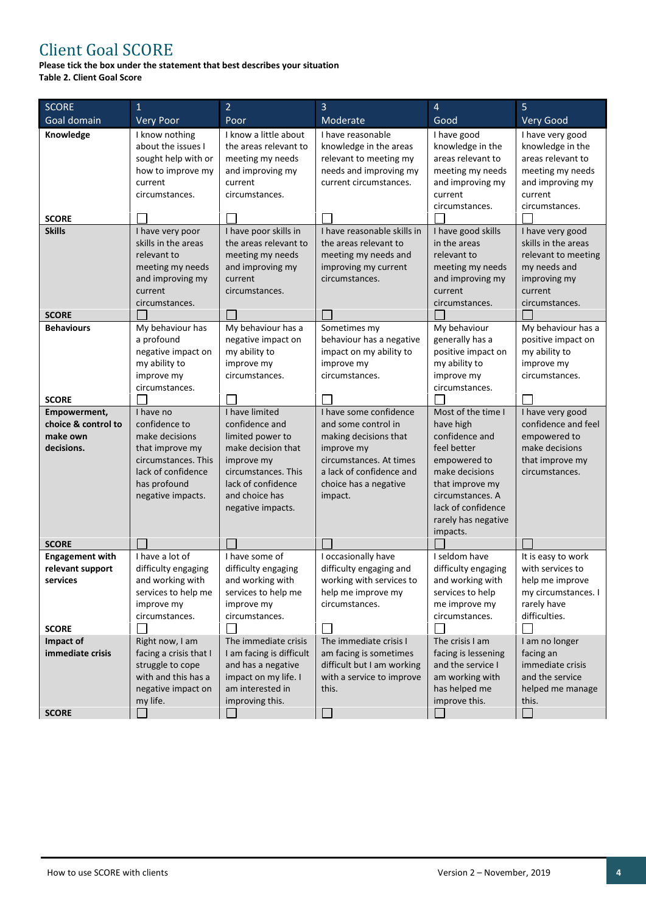## Client Goal SCORE

**Please tick the box under the statement that best describes your situation Table 2. Client Goal Score**

| <b>SCORE</b>                  | 1                                       | $\overline{2}$                                 | 3                                                    | $\overline{4}$                         | 5                                       |
|-------------------------------|-----------------------------------------|------------------------------------------------|------------------------------------------------------|----------------------------------------|-----------------------------------------|
| Goal domain                   | <b>Very Poor</b>                        | Poor                                           | Moderate                                             | Good                                   | Very Good                               |
| Knowledge                     | I know nothing<br>about the issues I    | I know a little about<br>the areas relevant to | I have reasonable<br>knowledge in the areas          | I have good<br>knowledge in the        | I have very good<br>knowledge in the    |
|                               | sought help with or                     | meeting my needs                               | relevant to meeting my                               | areas relevant to                      | areas relevant to                       |
|                               | how to improve my                       | and improving my                               | needs and improving my                               | meeting my needs                       | meeting my needs                        |
|                               | current                                 | current                                        | current circumstances.                               | and improving my                       | and improving my                        |
|                               | circumstances.                          | circumstances.                                 |                                                      | current                                | current                                 |
|                               |                                         |                                                |                                                      | circumstances.                         | circumstances.                          |
| <b>SCORE</b>                  |                                         |                                                |                                                      |                                        |                                         |
| <b>Skills</b>                 | I have very poor<br>skills in the areas | I have poor skills in<br>the areas relevant to | I have reasonable skills in<br>the areas relevant to | I have good skills<br>in the areas     | I have very good<br>skills in the areas |
|                               | relevant to                             | meeting my needs                               | meeting my needs and                                 | relevant to                            | relevant to meeting                     |
|                               | meeting my needs                        | and improving my                               | improving my current                                 | meeting my needs                       | my needs and                            |
|                               | and improving my                        | current                                        | circumstances.                                       | and improving my                       | improving my                            |
|                               | current                                 | circumstances.                                 |                                                      | current                                | current                                 |
|                               | circumstances.                          |                                                |                                                      | circumstances.                         | circumstances.                          |
| <b>SCORE</b>                  |                                         |                                                |                                                      |                                        |                                         |
| <b>Behaviours</b>             | My behaviour has                        | My behaviour has a                             | Sometimes my                                         | My behaviour                           | My behaviour has a                      |
|                               | a profound                              | negative impact on                             | behaviour has a negative                             | generally has a                        | positive impact on                      |
|                               | negative impact on                      | my ability to                                  | impact on my ability to                              | positive impact on                     | my ability to                           |
|                               | my ability to                           | improve my                                     | improve my<br>circumstances.                         | my ability to                          | improve my                              |
|                               | improve my<br>circumstances.            | circumstances.                                 |                                                      | improve my<br>circumstances.           | circumstances.                          |
| <b>SCORE</b>                  |                                         |                                                |                                                      |                                        |                                         |
| Empowerment,                  | I have no                               | I have limited                                 | I have some confidence                               | Most of the time I                     | I have very good                        |
| choice & control to           | confidence to                           | confidence and                                 | and some control in                                  | have high                              | confidence and feel                     |
| make own                      | make decisions                          | limited power to                               | making decisions that                                | confidence and                         | empowered to                            |
| decisions.                    | that improve my                         | make decision that                             | improve my                                           | feel better                            | make decisions                          |
|                               | circumstances. This                     | improve my                                     | circumstances. At times                              | empowered to                           | that improve my                         |
|                               | lack of confidence                      | circumstances. This                            | a lack of confidence and                             | make decisions                         | circumstances.                          |
|                               | has profound                            | lack of confidence                             | choice has a negative                                | that improve my                        |                                         |
|                               | negative impacts.                       | and choice has                                 | impact.                                              | circumstances. A<br>lack of confidence |                                         |
|                               |                                         | negative impacts.                              |                                                      | rarely has negative                    |                                         |
|                               |                                         |                                                |                                                      | impacts.                               |                                         |
| <b>SCORE</b>                  |                                         |                                                |                                                      |                                        |                                         |
| <b>Engagement with</b>        | I have a lot of                         | I have some of                                 | I occasionally have                                  | I seldom have                          | It is easy to work                      |
| relevant support              | difficulty engaging                     | difficulty engaging                            | difficulty engaging and                              | difficulty engaging                    | with services to                        |
| services                      | and working with                        | and working with                               | working with services to                             | and working with                       | help me improve                         |
|                               | services to help me                     | services to help me                            | help me improve my                                   | services to help                       | my circumstances. I                     |
|                               | improve my                              | improve my                                     | circumstances.                                       | me improve my                          | rarely have                             |
|                               | circumstances.                          | circumstances.                                 |                                                      | circumstances.                         | difficulties.                           |
| <b>SCORE</b>                  | Right now, I am                         | The immediate crisis                           | $\mathsf{L}$<br>The immediate crisis I               | $\Box$<br>The crisis I am              | I am no longer                          |
| Impact of<br>immediate crisis | facing a crisis that I                  | I am facing is difficult                       | am facing is sometimes                               | facing is lessening                    | facing an                               |
|                               | struggle to cope                        | and has a negative                             | difficult but I am working                           | and the service I                      | immediate crisis                        |
|                               | with and this has a                     | impact on my life. I                           | with a service to improve                            | am working with                        | and the service                         |
|                               | negative impact on                      | am interested in                               | this.                                                | has helped me                          | helped me manage                        |
|                               | my life.                                | improving this.                                |                                                      | improve this.                          | this.                                   |
| <b>SCORE</b>                  |                                         |                                                |                                                      |                                        |                                         |